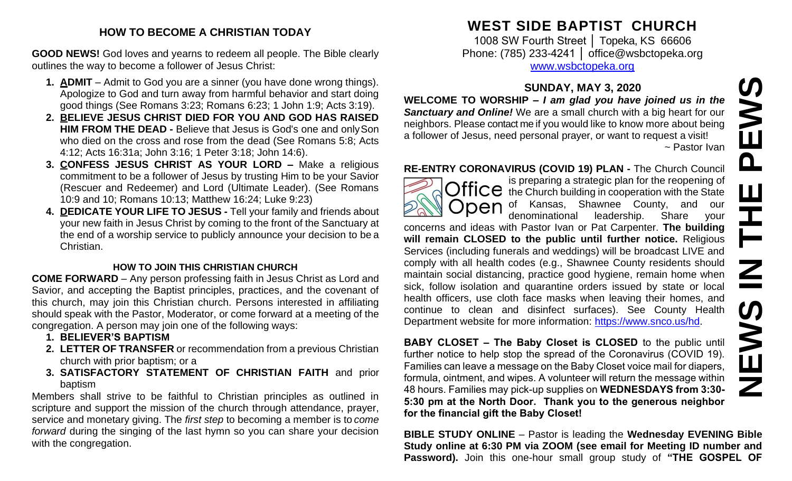# **HOW TO BECOME A CHRISTIAN TODAY**

**GOOD NEWS!** God loves and yearns to redeem all people. The Bible clearly outlines the way to become a follower of Jesus Christ:

- **1. ADMIT**  Admit to God you are a sinner (you have done wrong things). Apologize to God and turn away from harmful behavior and start doing good things (See Romans 3:23; Romans 6:23; 1 John 1:9; Acts 3:19).
- **2. BELIEVE JESUS CHRIST DIED FOR YOU AND GOD HAS RAISED HIM FROM THE DEAD -** Believe that Jesus is God's one and onlySon who died on the cross and rose from the dead (See Romans 5:8; Acts 4:12; Acts 16:31a; John 3:16; 1 Peter 3:18; John 14:6).
- **3. CONFESS JESUS CHRIST AS YOUR LORD –** Make a religious commitment to be a follower of Jesus by trusting Him to be your Savior (Rescuer and Redeemer) and Lord (Ultimate Leader). (See Romans 10:9 and 10; Romans 10:13; Matthew 16:24; Luke 9:23)
- **4. DEDICATE YOUR LIFE TO JESUS -** Tell your family and friends about your new faith in Jesus Christ by coming to the front of the Sanctuary at the end of a worship service to publicly announce your decision to be a Christian.

## **HOW TO JOIN THIS CHRISTIAN CHURCH**

**COME FORWARD** – Any person professing faith in Jesus Christ as Lord and Savior, and accepting the Baptist principles, practices, and the covenant of this church, may join this Christian church. Persons interested in affiliating should speak with the Pastor, Moderator, or come forward at a meeting of the congregation. A person may join one of the following ways:

- **1. BELIEVER'S BAPTISM**
- **2. LETTER OF TRANSFER** or recommendation from a previous Christian church with prior baptism; or a
- **3. SATISFACTORY STATEMENT OF CHRISTIAN FAITH** and prior baptism

Members shall strive to be faithful to Christian principles as outlined in scripture and support the mission of the church through attendance, prayer, service and monetary giving. The *first step* to becoming a member is to *come forward* during the singing of the last hymn so you can share your decision with the congregation.

# **WEST SIDE BAPTIST CHURCH**

1008 SW Fourth Street │ Topeka, KS 66606 Phone: (785) 233-4241 │ [office@wsbctopeka.org](mailto:office@wsbctopeka.org) [www.wsbctopeka.org](http://www.wsbctopeka.org/)

# **SUNDAY, MAY 3, 2020**

**WELCOME TO WORSHIP –** *I am glad you have joined us in the Sanctuary and Online!* We are a small church with a big heart for our neighbors. Please contact me if you would like to know more about being a follower of Jesus, need personal prayer, or want to request a visit! ~ Pastor Ivan

**RE-ENTRY CORONAVIRUS (COVID 19) PLAN -** The Church Council



is preparing a strategic plan for the reopening of Office is preparing a suddenly profit for the Church building in cooperation with the State **Open** of Kansas, Shawnee County, and our denominational leadership. Share your

concerns and ideas with Pastor Ivan or Pat Carpenter. **The building will remain CLOSED to the public until further notice.** Religious Services (including funerals and weddings) will be broadcast LIVE and comply with all health codes (e.g., Shawnee County residents should maintain social distancing, practice good hygiene, remain home when sick, follow isolation and quarantine orders issued by state or local health officers, use cloth face masks when leaving their homes, and continue to clean and disinfect surfaces). See County Health Department website for more information: [https://www.snco.us/hd.](https://www.snco.us/hd) **SUNDAY, MAY 3, 2020**<br> **Sanctuary and Online!** We are a small group have joined us in the<br> **Sanctuary and Online!** We are a small church with a big heat for our<br>
meighbors. Please contact me if you would like to know more

**BABY CLOSET – The Baby Closet is CLOSED** to the public until further notice to help stop the spread of the Coronavirus (COVID 19). Families can leave a message on the Baby Closet voice mail for diapers, formula, ointment, and wipes. A volunteer will return the message within 48 hours. Families may pick-up supplies on **WEDNESDAYS from 3:30- 5:30 pm at the North Door. Thank you to the generous neighbor for the financial gift the Baby Closet!** 

**BIBLE STUDY ONLINE** – Pastor is leading the **Wednesday EVENING Bible Study online at 6:30 PM via ZOOM (see email for Meeting ID number and**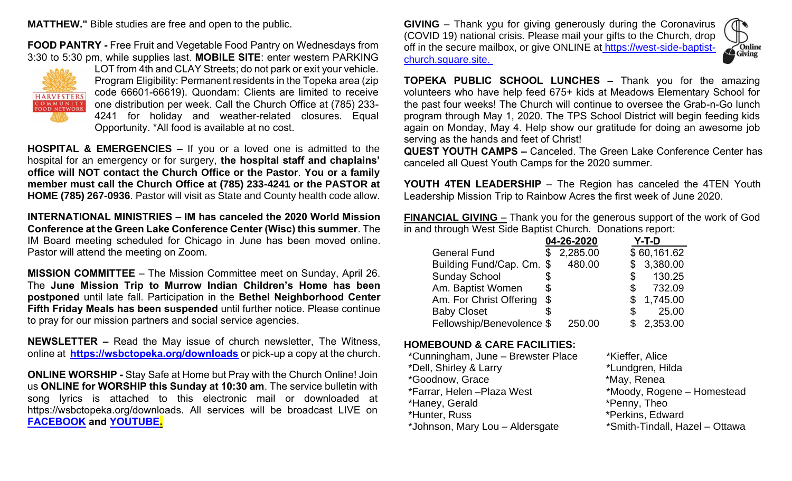**MATTHEW."** Bible studies are free and open to the public.

**FOOD PANTRY -** Free Fruit and Vegetable Food Pantry on Wednesdays from 3:30 to 5:30 pm, while supplies last. **MOBILE SITE**: enter western PARKING



LOT from 4th and CLAY Streets; do not park or exit your vehicle. Program Eligibility: Permanent residents in the Topeka area (zip code 66601-66619). Quondam: Clients are limited to receive one distribution per week. Call the Church Office at (785) 233- 4241 for holiday and weather-related closures. Equal Opportunity. \*All food is available at no cost.

**HOSPITAL & EMERGENCIES –** If you or a loved one is admitted to the hospital for an emergency or for surgery, **the hospital staff and chaplains' office will NOT contact the Church Office or the Pastor**. **You or a family member must call the Church Office at (785) 233-4241 or the PASTOR at HOME (785) 267-0936**. Pastor will visit as State and County health code allow.

**INTERNATIONAL MINISTRIES – IM has canceled the 2020 World Mission Conference at the Green Lake Conference Center (Wisc) this summer**. The IM Board meeting scheduled for Chicago in June has been moved online. Pastor will attend the meeting on Zoom.

**MISSION COMMITTEE** – The Mission Committee meet on Sunday, April 26. The **June Mission Trip to Murrow Indian Children's Home has been postponed** until late fall. Participation in the **Bethel Neighborhood Center Fifth Friday Meals has been suspended** until further notice. Please continue to pray for our mission partners and social service agencies.

**NEWSLETTER –** Read the May issue of church newsletter, The Witness, online at **[https://wsbctopeka.org/downloads](https://wsbctopeka.org/downloads/)** or pick-up a copy at the church.

**ONLINE WORSHIP -** Stay Safe at Home but Pray with the Church Online! Join us **ONLINE for WORSHIP this Sunday at 10:30 am**. The service bulletin with song lyrics is attached to this electronic mail or downloaded at https://wsbctopeka.org/downloads. All services will be broadcast LIVE on **[FACEBOOK](https://www.facebook.com/wsbctopeka) and [YOUTUBE.](http://www.youtube.com/channel/UCbIF8rvtPVFk2iJWJMCQHKw)**

**GIVING** – Thank you for giving generously during the Coronavirus (COVID 19) national crisis. Please mail your gifts to the Church, drop off in the secure mailbox, or give ONLINE at [https://west-side-baptist](https://west-side-baptist-church.square.site/)[church.square.site.](https://west-side-baptist-church.square.site/)



**TOPEKA PUBLIC SCHOOL LUNCHES –** Thank you for the amazing volunteers who have help feed 675+ kids at Meadows Elementary School for the past four weeks! The Church will continue to oversee the Grab-n-Go lunch program through May 1, 2020. The TPS School District will begin feeding kids again on Monday, May 4. Help show our gratitude for doing an awesome job serving as the hands and feet of Christ!

**QUEST YOUTH CAMPS –** Canceled. The Green Lake Conference Center has canceled all Quest Youth Camps for the 2020 summer.

**YOUTH 4TEN LEADERSHIP** – The Region has canceled the 4TEN Youth Leadership Mission Trip to Rainbow Acres the first week of June 2020.

**FINANCIAL GIVING** – Thank you for the generous support of the work of God in and through West Side Baptist Church. Donations report:

|                           | 04-26-2020 | Y-T-D         |
|---------------------------|------------|---------------|
| <b>General Fund</b>       | 2,285.00   | \$60,161.62   |
| Building Fund/Cap. Cm. \$ | 480.00     | \$3,380.00    |
| <b>Sunday School</b>      |            | 130.25        |
| Am. Baptist Women         | \$         | 732.09<br>S   |
| Am. For Christ Offering   | \$         | 1,745.00<br>S |
| <b>Baby Closet</b>        |            | 25.00         |
| Fellowship/Benevolence \$ | 250.00     | 2,353.00      |

#### **HOMEBOUND & CARE FACILITIES:**

| *Cunningham, June - Brewster Place | *Kieffer, Alice                |
|------------------------------------|--------------------------------|
| *Dell, Shirley & Larry             | *Lundgren, Hilda               |
| *Goodnow, Grace                    | *May, Renea                    |
| *Farrar, Helen -Plaza West         | *Moody, Rogene - Homestead     |
| *Haney, Gerald                     | *Penny, Theo                   |
| *Hunter, Russ                      | *Perkins, Edward               |
| *Johnson, Mary Lou - Aldersgate    | *Smith-Tindall, Hazel - Ottawa |
|                                    |                                |